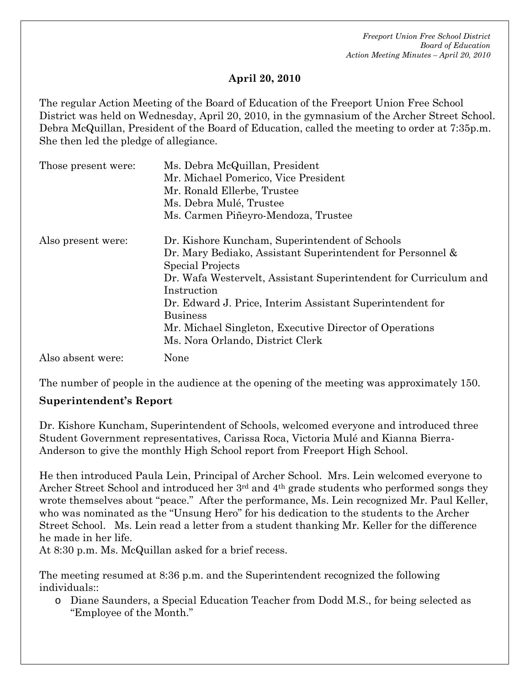### **April 20, 2010**

The regular Action Meeting of the Board of Education of the Freeport Union Free School District was held on Wednesday, April 20, 2010, in the gymnasium of the Archer Street School. Debra McQuillan, President of the Board of Education, called the meeting to order at 7:35p.m. She then led the pledge of allegiance.

| Those present were: | Ms. Debra McQuillan, President                                   |  |
|---------------------|------------------------------------------------------------------|--|
|                     | Mr. Michael Pomerico, Vice President                             |  |
|                     | Mr. Ronald Ellerbe, Trustee                                      |  |
|                     | Ms. Debra Mulé, Trustee                                          |  |
|                     | Ms. Carmen Piñeyro-Mendoza, Trustee                              |  |
| Also present were:  | Dr. Kishore Kuncham, Superintendent of Schools                   |  |
|                     | Dr. Mary Bediako, Assistant Superintendent for Personnel &       |  |
|                     | Special Projects                                                 |  |
|                     | Dr. Wafa Westervelt, Assistant Superintendent for Curriculum and |  |
|                     | Instruction                                                      |  |
|                     | Dr. Edward J. Price, Interim Assistant Superintendent for        |  |
|                     | <b>Business</b>                                                  |  |
|                     | Mr. Michael Singleton, Executive Director of Operations          |  |
|                     | Ms. Nora Orlando, District Clerk                                 |  |
| Also absent were:   | None                                                             |  |

The number of people in the audience at the opening of the meeting was approximately 150.

### **Superintendent's Report**

Dr. Kishore Kuncham, Superintendent of Schools, welcomed everyone and introduced three Student Government representatives, Carissa Roca, Victoria Mulé and Kianna Bierra-Anderson to give the monthly High School report from Freeport High School.

He then introduced Paula Lein, Principal of Archer School. Mrs. Lein welcomed everyone to Archer Street School and introduced her 3rd and 4th grade students who performed songs they wrote themselves about "peace." After the performance, Ms. Lein recognized Mr. Paul Keller, who was nominated as the "Unsung Hero" for his dedication to the students to the Archer Street School. Ms. Lein read a letter from a student thanking Mr. Keller for the difference he made in her life.

At 8:30 p.m. Ms. McQuillan asked for a brief recess.

The meeting resumed at 8:36 p.m. and the Superintendent recognized the following individuals::

o Diane Saunders, a Special Education Teacher from Dodd M.S., for being selected as "Employee of the Month."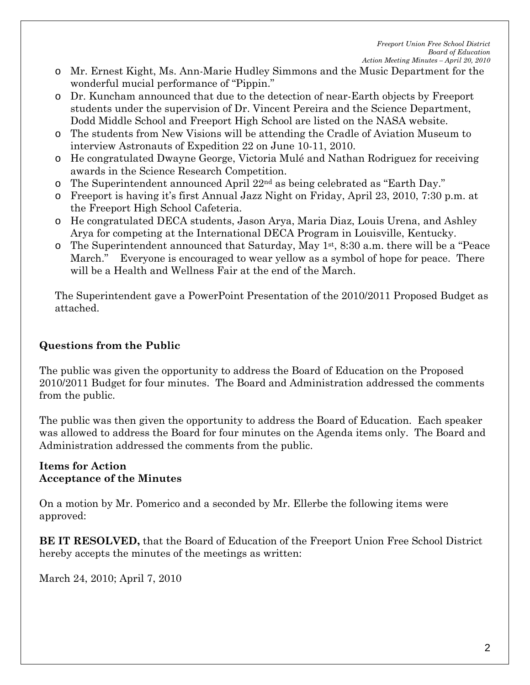- o Mr. Ernest Kight, Ms. Ann-Marie Hudley Simmons and the Music Department for the wonderful mucial performance of "Pippin."
- o Dr. Kuncham announced that due to the detection of near-Earth objects by Freeport students under the supervision of Dr. Vincent Pereira and the Science Department, Dodd Middle School and Freeport High School are listed on the NASA website.
- o The students from New Visions will be attending the Cradle of Aviation Museum to interview Astronauts of Expedition 22 on June 10-11, 2010.
- o He congratulated Dwayne George, Victoria Mulé and Nathan Rodriguez for receiving awards in the Science Research Competition.
- o The Superintendent announced April 22nd as being celebrated as "Earth Day."
- o Freeport is having it's first Annual Jazz Night on Friday, April 23, 2010, 7:30 p.m. at the Freeport High School Cafeteria.
- o He congratulated DECA students, Jason Arya, Maria Diaz, Louis Urena, and Ashley Arya for competing at the International DECA Program in Louisville, Kentucky.
- $\circ$  The Superintendent announced that Saturday, May 1<sup>st</sup>, 8:30 a.m. there will be a "Peace" March." Everyone is encouraged to wear yellow as a symbol of hope for peace. There will be a Health and Wellness Fair at the end of the March.

The Superintendent gave a PowerPoint Presentation of the 2010/2011 Proposed Budget as attached.

## **Questions from the Public**

The public was given the opportunity to address the Board of Education on the Proposed 2010/2011 Budget for four minutes. The Board and Administration addressed the comments from the public.

The public was then given the opportunity to address the Board of Education. Each speaker was allowed to address the Board for four minutes on the Agenda items only. The Board and Administration addressed the comments from the public.

#### **Items for Action Acceptance of the Minutes**

On a motion by Mr. Pomerico and a seconded by Mr. Ellerbe the following items were approved:

**BE IT RESOLVED,** that the Board of Education of the Freeport Union Free School District hereby accepts the minutes of the meetings as written:

March 24, 2010; April 7, 2010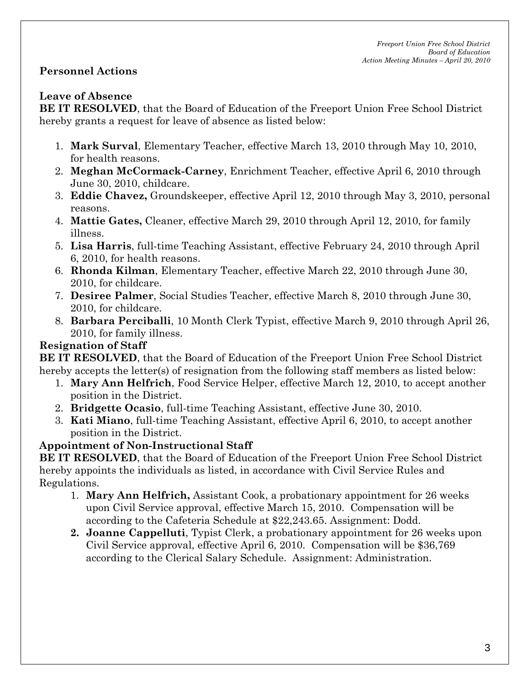## **Personnel Actions**

### **Leave of Absence**

**BE IT RESOLVED**, that the Board of Education of the Freeport Union Free School District hereby grants a request for leave of absence as listed below:

- 1. **Mark Surval**, Elementary Teacher, effective March 13, 2010 through May 10, 2010, for health reasons.
- 2. **Meghan McCormack-Carney**, Enrichment Teacher, effective April 6, 2010 through June 30, 2010, childcare.
- 3. **Eddie Chavez,** Groundskeeper, effective April 12, 2010 through May 3, 2010, personal reasons.
- 4. **Mattie Gates,** Cleaner, effective March 29, 2010 through April 12, 2010, for family illness.
- 5. **Lisa Harris**, full-time Teaching Assistant, effective February 24, 2010 through April 6, 2010, for health reasons.
- 6. **Rhonda Kilman**, Elementary Teacher, effective March 22, 2010 through June 30, 2010, for childcare.
- 7. **Desiree Palmer**, Social Studies Teacher, effective March 8, 2010 through June 30, 2010, for childcare.
- 8. **Barbara Perciballi**, 10 Month Clerk Typist, effective March 9, 2010 through April 26, 2010, for family illness.

## **Resignation of Staff**

**BE IT RESOLVED**, that the Board of Education of the Freeport Union Free School District hereby accepts the letter(s) of resignation from the following staff members as listed below:

- 1. **Mary Ann Helfrich**, Food Service Helper, effective March 12, 2010, to accept another position in the District.
- 2. **Bridgette Ocasio**, full-time Teaching Assistant, effective June 30, 2010.
- 3. **Kati Miano**, full-time Teaching Assistant, effective April 6, 2010, to accept another position in the District.

## **Appointment of Non-Instructional Staff**

**BE IT RESOLVED**, that the Board of Education of the Freeport Union Free School District hereby appoints the individuals as listed, in accordance with Civil Service Rules and Regulations.

- 1. **Mary Ann Helfrich,** Assistant Cook, a probationary appointment for 26 weeks upon Civil Service approval, effective March 15, 2010. Compensation will be according to the Cafeteria Schedule at \$22,243.65. Assignment: Dodd.
- **2. Joanne Cappelluti**, Typist Clerk, a probationary appointment for 26 weeks upon Civil Service approval, effective April 6, 2010. Compensation will be \$36,769 according to the Clerical Salary Schedule. Assignment: Administration.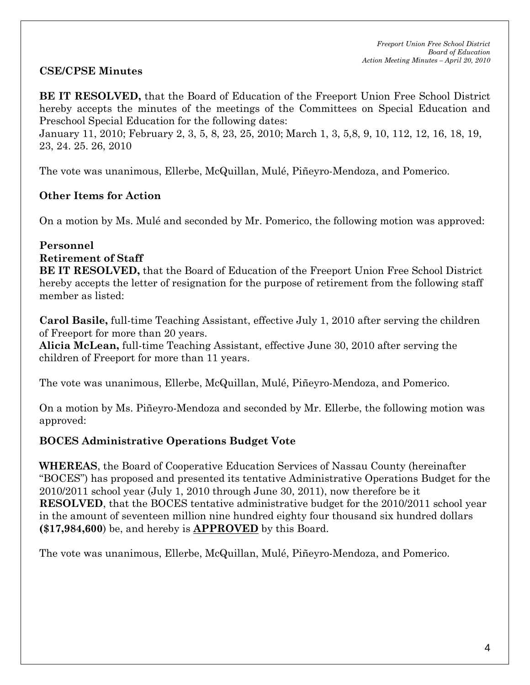## **CSE/CPSE Minutes**

**BE IT RESOLVED,** that the Board of Education of the Freeport Union Free School District hereby accepts the minutes of the meetings of the Committees on Special Education and Preschool Special Education for the following dates:

January 11, 2010; February 2, 3, 5, 8, 23, 25, 2010; March 1, 3, 5,8, 9, 10, 112, 12, 16, 18, 19, 23, 24. 25. 26, 2010

The vote was unanimous, Ellerbe, McQuillan, Mulé, Piñeyro-Mendoza, and Pomerico.

### **Other Items for Action**

On a motion by Ms. Mulé and seconded by Mr. Pomerico, the following motion was approved:

### **Personnel**

#### **Retirement of Staff**

**BE IT RESOLVED,** that the Board of Education of the Freeport Union Free School District hereby accepts the letter of resignation for the purpose of retirement from the following staff member as listed:

**Carol Basile,** full-time Teaching Assistant, effective July 1, 2010 after serving the children of Freeport for more than 20 years.

**Alicia McLean,** full-time Teaching Assistant, effective June 30, 2010 after serving the children of Freeport for more than 11 years.

The vote was unanimous, Ellerbe, McQuillan, Mulé, Piñeyro-Mendoza, and Pomerico.

On a motion by Ms. Piñeyro-Mendoza and seconded by Mr. Ellerbe, the following motion was approved:

## **BOCES Administrative Operations Budget Vote**

**WHEREAS**, the Board of Cooperative Education Services of Nassau County (hereinafter "BOCES") has proposed and presented its tentative Administrative Operations Budget for the 2010/2011 school year (July 1, 2010 through June 30, 2011), now therefore be it **RESOLVED**, that the BOCES tentative administrative budget for the 2010/2011 school year in the amount of seventeen million nine hundred eighty four thousand six hundred dollars **(\$17,984,600**) be, and hereby is **APPROVED** by this Board.

The vote was unanimous, Ellerbe, McQuillan, Mulé, Piñeyro-Mendoza, and Pomerico.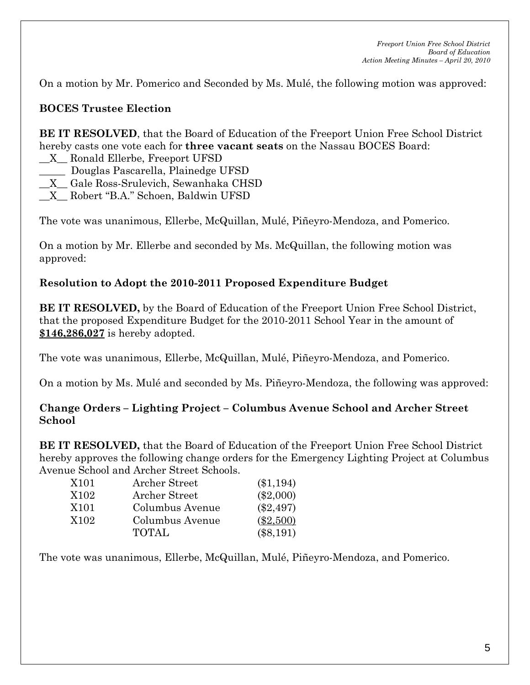On a motion by Mr. Pomerico and Seconded by Ms. Mulé, the following motion was approved:

## **BOCES Trustee Election**

**BE IT RESOLVED**, that the Board of Education of the Freeport Union Free School District hereby casts one vote each for **three vacant seats** on the Nassau BOCES Board:

- \_\_X\_\_ Ronald Ellerbe, Freeport UFSD
- \_\_\_\_\_ Douglas Pascarella, Plainedge UFSD
- \_\_X\_\_ Gale Ross-Srulevich, Sewanhaka CHSD
- \_\_X\_\_ Robert "B.A." Schoen, Baldwin UFSD

The vote was unanimous, Ellerbe, McQuillan, Mulé, Piñeyro-Mendoza, and Pomerico.

On a motion by Mr. Ellerbe and seconded by Ms. McQuillan, the following motion was approved:

### **Resolution to Adopt the 2010-2011 Proposed Expenditure Budget**

**BE IT RESOLVED,** by the Board of Education of the Freeport Union Free School District, that the proposed Expenditure Budget for the 2010-2011 School Year in the amount of **\$146,286,027** is hereby adopted.

The vote was unanimous, Ellerbe, McQuillan, Mulé, Piñeyro-Mendoza, and Pomerico.

On a motion by Ms. Mulé and seconded by Ms. Piñeyro-Mendoza, the following was approved:

#### **Change Orders – Lighting Project – Columbus Avenue School and Archer Street School**

**BE IT RESOLVED,** that the Board of Education of the Freeport Union Free School District hereby approves the following change orders for the Emergency Lighting Project at Columbus Avenue School and Archer Street Schools.

| X101 | Archer Street   | $(\$1,194)$ |
|------|-----------------|-------------|
| X102 | Archer Street   | $(\$2,000)$ |
| X101 | Columbus Avenue | $(\$2,497)$ |
| X102 | Columbus Avenue | $(\$2,500)$ |
|      | <b>TOTAL</b>    | $(\$8,191)$ |

The vote was unanimous, Ellerbe, McQuillan, Mulé, Piñeyro-Mendoza, and Pomerico.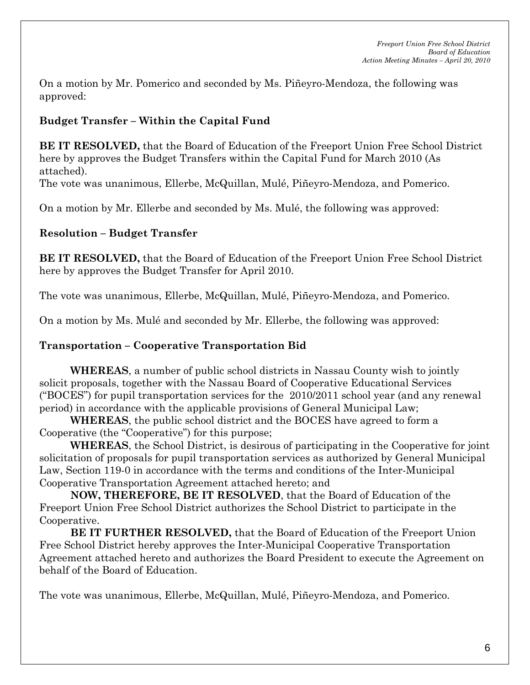On a motion by Mr. Pomerico and seconded by Ms. Piñeyro-Mendoza, the following was approved:

# **Budget Transfer – Within the Capital Fund**

**BE IT RESOLVED,** that the Board of Education of the Freeport Union Free School District here by approves the Budget Transfers within the Capital Fund for March 2010 (As attached).

The vote was unanimous, Ellerbe, McQuillan, Mulé, Piñeyro-Mendoza, and Pomerico.

On a motion by Mr. Ellerbe and seconded by Ms. Mulé, the following was approved:

# **Resolution – Budget Transfer**

**BE IT RESOLVED,** that the Board of Education of the Freeport Union Free School District here by approves the Budget Transfer for April 2010.

The vote was unanimous, Ellerbe, McQuillan, Mulé, Piñeyro-Mendoza, and Pomerico.

On a motion by Ms. Mulé and seconded by Mr. Ellerbe, the following was approved:

# **Transportation – Cooperative Transportation Bid**

**WHEREAS**, a number of public school districts in Nassau County wish to jointly solicit proposals, together with the Nassau Board of Cooperative Educational Services ("BOCES") for pupil transportation services for the 2010/2011 school year (and any renewal period) in accordance with the applicable provisions of General Municipal Law;

**WHEREAS**, the public school district and the BOCES have agreed to form a Cooperative (the "Cooperative") for this purpose;

**WHEREAS**, the School District, is desirous of participating in the Cooperative for joint solicitation of proposals for pupil transportation services as authorized by General Municipal Law, Section 119-0 in accordance with the terms and conditions of the Inter-Municipal Cooperative Transportation Agreement attached hereto; and

**NOW, THEREFORE, BE IT RESOLVED**, that the Board of Education of the Freeport Union Free School District authorizes the School District to participate in the Cooperative.

**BE IT FURTHER RESOLVED,** that the Board of Education of the Freeport Union Free School District hereby approves the Inter-Municipal Cooperative Transportation Agreement attached hereto and authorizes the Board President to execute the Agreement on behalf of the Board of Education.

The vote was unanimous, Ellerbe, McQuillan, Mulé, Piñeyro-Mendoza, and Pomerico.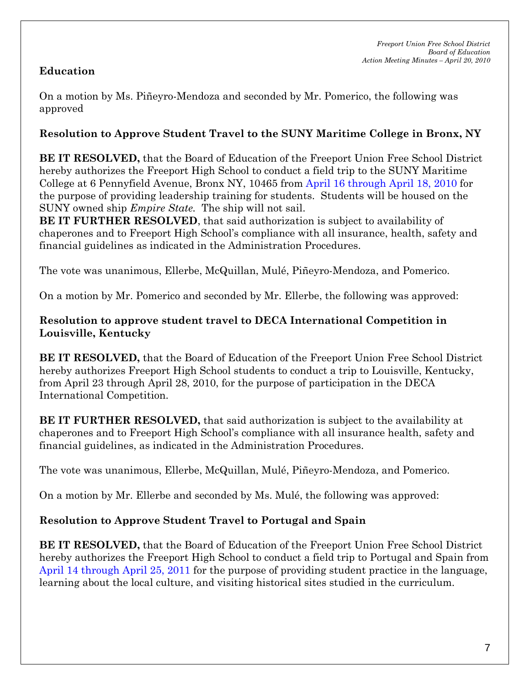# **Education**

On a motion by Ms. Piñeyro-Mendoza and seconded by Mr. Pomerico, the following was approved

## **Resolution to Approve Student Travel to the SUNY Maritime College in Bronx, NY**

**BE IT RESOLVED,** that the Board of Education of the Freeport Union Free School District hereby authorizes the Freeport High School to conduct a field trip to the SUNY Maritime College at 6 Pennyfield Avenue, Bronx NY, 10465 from April 16 through April 18, 2010 for the purpose of providing leadership training for students. Students will be housed on the SUNY owned ship *Empire State.* The ship will not sail.

**BE IT FURTHER RESOLVED**, that said authorization is subject to availability of chaperones and to Freeport High School's compliance with all insurance, health, safety and financial guidelines as indicated in the Administration Procedures.

The vote was unanimous, Ellerbe, McQuillan, Mulé, Piñeyro-Mendoza, and Pomerico.

On a motion by Mr. Pomerico and seconded by Mr. Ellerbe, the following was approved:

### **Resolution to approve student travel to DECA International Competition in Louisville, Kentucky**

**BE IT RESOLVED,** that the Board of Education of the Freeport Union Free School District hereby authorizes Freeport High School students to conduct a trip to Louisville, Kentucky, from April 23 through April 28, 2010, for the purpose of participation in the DECA International Competition.

**BE IT FURTHER RESOLVED,** that said authorization is subject to the availability at chaperones and to Freeport High School's compliance with all insurance health, safety and financial guidelines, as indicated in the Administration Procedures.

The vote was unanimous, Ellerbe, McQuillan, Mulé, Piñeyro-Mendoza, and Pomerico.

On a motion by Mr. Ellerbe and seconded by Ms. Mulé, the following was approved:

## **Resolution to Approve Student Travel to Portugal and Spain**

**BE IT RESOLVED,** that the Board of Education of the Freeport Union Free School District hereby authorizes the Freeport High School to conduct a field trip to Portugal and Spain from April 14 through April 25, 2011 for the purpose of providing student practice in the language, learning about the local culture, and visiting historical sites studied in the curriculum.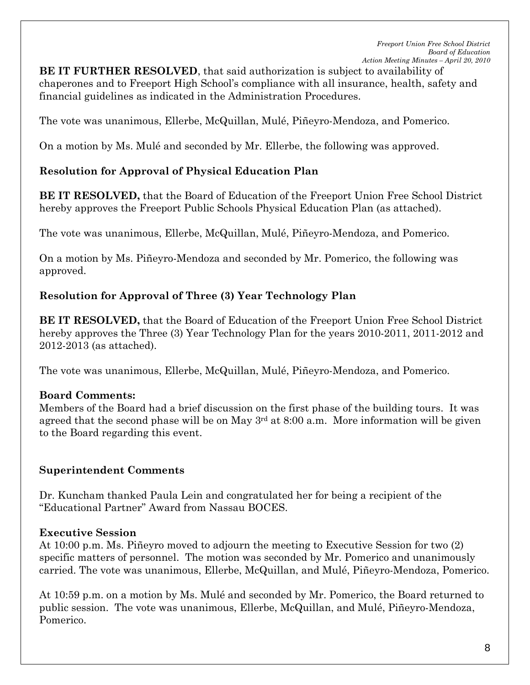**BE IT FURTHER RESOLVED**, that said authorization is subject to availability of chaperones and to Freeport High School's compliance with all insurance, health, safety and financial guidelines as indicated in the Administration Procedures.

The vote was unanimous, Ellerbe, McQuillan, Mulé, Piñeyro-Mendoza, and Pomerico.

On a motion by Ms. Mulé and seconded by Mr. Ellerbe, the following was approved.

## **Resolution for Approval of Physical Education Plan**

**BE IT RESOLVED,** that the Board of Education of the Freeport Union Free School District hereby approves the Freeport Public Schools Physical Education Plan (as attached).

The vote was unanimous, Ellerbe, McQuillan, Mulé, Piñeyro-Mendoza, and Pomerico.

On a motion by Ms. Piñeyro-Mendoza and seconded by Mr. Pomerico, the following was approved.

### **Resolution for Approval of Three (3) Year Technology Plan**

**BE IT RESOLVED,** that the Board of Education of the Freeport Union Free School District hereby approves the Three (3) Year Technology Plan for the years 2010-2011, 2011-2012 and 2012-2013 (as attached).

The vote was unanimous, Ellerbe, McQuillan, Mulé, Piñeyro-Mendoza, and Pomerico.

### **Board Comments:**

Members of the Board had a brief discussion on the first phase of the building tours. It was agreed that the second phase will be on May  $3<sup>rd</sup>$  at 8:00 a.m. More information will be given to the Board regarding this event.

## **Superintendent Comments**

Dr. Kuncham thanked Paula Lein and congratulated her for being a recipient of the "Educational Partner" Award from Nassau BOCES.

### **Executive Session**

At 10:00 p.m. Ms. Piñeyro moved to adjourn the meeting to Executive Session for two (2) specific matters of personnel. The motion was seconded by Mr. Pomerico and unanimously carried. The vote was unanimous, Ellerbe, McQuillan, and Mulé, Piñeyro-Mendoza, Pomerico.

At 10:59 p.m. on a motion by Ms. Mulé and seconded by Mr. Pomerico, the Board returned to public session. The vote was unanimous, Ellerbe, McQuillan, and Mulé, Piñeyro-Mendoza, Pomerico.